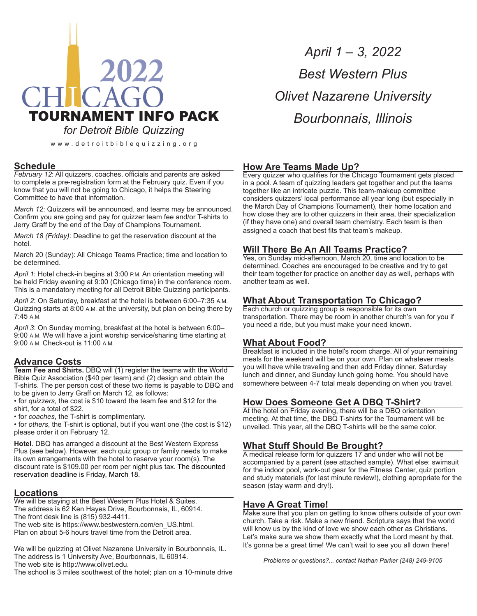# 2022 CHICAGO TOURNAMENT INFO PACK *for Detroit Bible Quizzing*

www.detroitbiblequizzing.org

# **Schedule**

*February 12*: All quizzers, coaches, officials and parents are asked to complete a pre-registration form at the February quiz. Even if you know that you will not be going to Chicago, it helps the Steering Committee to have that information.

*March 12*: Quizzers will be announced, and teams may be announced. Confirm you are going and pay for quizzer team fee and/or T-shirts to Jerry Graff by the end of the Day of Champions Tournament.

*March 18 (Friday)*: Deadline to get the reservation discount at the hotel.

March 20 (Sunday): All Chicago Teams Practice; time and location to be determined.

*April 1*: Hotel check-in begins at 3:00 P.M. An orientation meeting will be held Friday evening at 9:00 (Chicago time) in the conference room. This is a mandatory meeting for all Detroit Bible Quizzing participants.

*April 2*: On Saturday, breakfast at the hotel is between 6:00–7:35 A.M. Quizzing starts at 8:00 A.M. at the university, but plan on being there by 7:45 A.M.

*April 3*: On Sunday morning, breakfast at the hotel is between 6:00– 9:00 A.M. We will have a joint worship service/sharing time starting at 9:00 A.M. Check-out is 11:00 A.M.

# **Advance Costs**

**Team Fee and Shirts.** DBQ will (1) register the teams with the World Bible Quiz Association (\$40 per team) and (2) design and obtain the T-shirts. The per person cost of these two items is payable to DBQ and to be given to Jerry Graff on March 12, as follows:

• for *quizzers*, the cost is \$10 toward the team fee and \$12 for the shirt, for a total of \$22.

• for *coaches*, the T-shirt is complimentary.

• for *others*, the T-shirt is optional, but if you want one (the cost is \$12) please order it on February 12.

**Hotel**. DBQ has arranged a discount at the Best Western Express Plus (see below). However, each quiz group or family needs to make its own arrangements with the hotel to reserve your room(s). The discount rate is \$109.00 per room per night plus tax. The discounted reservation deadline is Friday, March 18.

#### **Locations**

We will be staying at the Best Western Plus Hotel & Suites. The address is 62 Ken Hayes Drive, Bourbonnais, IL, 60914. The front desk line is (815) 932-4411.

The web site is https://www.bestwestern.com/en\_US.html. Plan on about 5-6 hours travel time from the Detroit area.

We will be quizzing at Olivet Nazarene University in Bourbonnais, IL. The address is 1 University Ave, Bourbonnais, IL 60914. The web site is http://www.olivet.edu.

The school is 3 miles southwest of the hotel; plan on a 10-minute drive

*April 1 – 3, 2022 Best Western Plus Olivet Nazarene University Bourbonnais, Illinois*

#### **How Are Teams Made Up?**

Every quizzer who qualifies for the Chicago Tournament gets placed in a pool. A team of quizzing leaders get together and put the teams together like an intricate puzzle. This team-makeup committee considers quizzers' local performance all year long (but especially in the March Day of Champions Tournament), their home location and how close they are to other quizzers in their area, their specialization (if they have one) and overall team chemistry. Each team is then assigned a coach that best fits that team's makeup.

#### **Will There Be An All Teams Practice?**

Yes, on Sunday mid-afternoon, March 20, time and location to be determined. Coaches are encouraged to be creative and try to get their team together for practice on another day as well, perhaps with another team as well.

### **What About Transportation To Chicago?**

Each church or quizzing group is responsible for its own transportation. There may be room in another church's van for you if you need a ride, but you must make your need known.

# **What About Food?**

Breakfast is included in the hotel's room charge. All of your remaining meals for the weekend will be on your own. Plan on whatever meals you will have while traveling and then add Friday dinner, Saturday lunch and dinner, and Sunday lunch going home. You should have somewhere between 4-7 total meals depending on when you travel.

#### **How Does Someone Get A DBQ T-Shirt?**

At the hotel on Friday evening, there will be a DBQ orientation meeting. At that time, the DBQ T-shirts for the Tournament will be unveiled. This year, all the DBQ T-shirts will be the same color.

# **What Stuff Should Be Brought?**

A medical release form for quizzers 17 and under who will not be accompanied by a parent (see attached sample). What else: swimsuit for the indoor pool, work-out gear for the Fitness Center, quiz portion and study materials (for last minute review!), clothing apropriate for the season (stay warm and dry!).

#### **Have A Great Time!**

Make sure that you plan on getting to know others outside of your own church. Take a risk. Make a new friend. Scripture says that the world will know us by the kind of love we show each other as Christians. Let's make sure we show them exactly what the Lord meant by that. It's gonna be a great time! We can't wait to see you all down there!

*Problems or questions?... contact Nathan Parker (248) 249-9105*